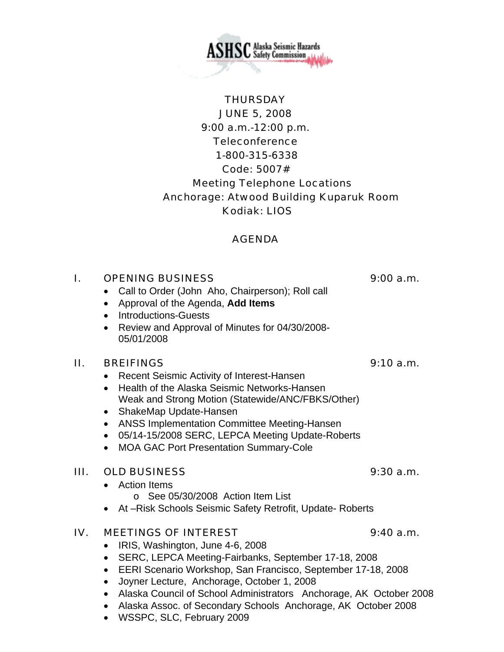**ASHSC** Alaska Seismic Hazards

# **THURSDAY** JUNE 5, 2008 9:00 a.m.-12:00 p.m. **Teleconference**  1-800-315-6338 Code: 5007# Meeting Telephone Locations Anchorage: Atwood Building Kuparuk Room Kodiak: LIOS

# AGENDA

# I. OPENING BUSINESS 9:00 a.m.

- Call to Order (John Aho, Chairperson); Roll call
- Approval of the Agenda, **Add Items**
- Introductions-Guests
- Review and Approval of Minutes for 04/30/2008- 05/01/2008

### II. BREIFINGS 9:10 a.m.

- Recent Seismic Activity of Interest-Hansen
- Health of the Alaska Seismic Networks-Hansen Weak and Strong Motion (Statewide/ANC/FBKS/Other)
- ShakeMap Update-Hansen
- ANSS Implementation Committee Meeting-Hansen
- 05/14-15/2008 SERC, LEPCA Meeting Update-Roberts
- MOA GAC Port Presentation Summary-Cole

### III. OLD BUSINESS 9:30 a.m.

- Action Items
	- o See 05/30/2008 Action Item List
- At –Risk Schools Seismic Safety Retrofit, Update- Roberts

### IV. MEETINGS OF INTEREST 9:40 a.m.

- IRIS, Washington, June 4-6, 2008
- SERC, LEPCA Meeting-Fairbanks, September 17-18, 2008
- EERI Scenario Workshop, San Francisco, September 17-18, 2008
- Joyner Lecture, Anchorage, October 1, 2008
- Alaska Council of School Administrators Anchorage, AK October 2008
- Alaska Assoc. of Secondary Schools Anchorage, AK October 2008
- WSSPC, SLC, February 2009